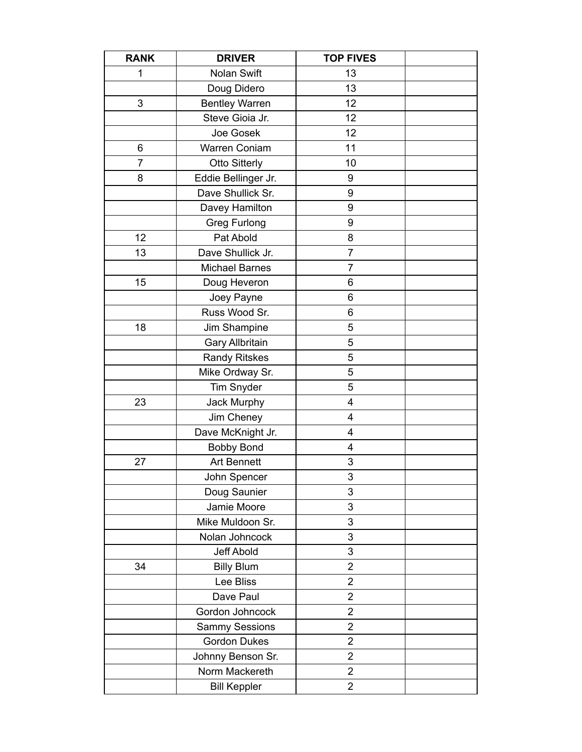| <b>RANK</b> | <b>DRIVER</b>         | <b>TOP FIVES</b> |  |
|-------------|-----------------------|------------------|--|
| 1           | Nolan Swift           | 13               |  |
|             | Doug Didero           | 13               |  |
| 3           | <b>Bentley Warren</b> | 12               |  |
|             | Steve Gioia Jr.       | 12               |  |
|             | Joe Gosek             | 12               |  |
| 6           | <b>Warren Coniam</b>  | 11               |  |
| 7           | <b>Otto Sitterly</b>  | 10               |  |
| 8           | Eddie Bellinger Jr.   | 9                |  |
|             | Dave Shullick Sr.     | 9                |  |
|             | Davey Hamilton        | 9                |  |
|             | <b>Greg Furlong</b>   | 9                |  |
| 12          | Pat Abold             | 8                |  |
| 13          | Dave Shullick Jr.     | $\overline{7}$   |  |
|             | <b>Michael Barnes</b> | 7                |  |
| 15          | Doug Heveron          | 6                |  |
|             | Joey Payne            | 6                |  |
|             | Russ Wood Sr.         | 6                |  |
| 18          | Jim Shampine          | 5                |  |
|             | Gary Allbritain       | 5                |  |
|             | <b>Randy Ritskes</b>  | 5                |  |
|             | Mike Ordway Sr.       | 5                |  |
|             | <b>Tim Snyder</b>     | 5                |  |
| 23          | Jack Murphy           | 4                |  |
|             | Jim Cheney            | 4                |  |
|             | Dave McKnight Jr.     | 4                |  |
|             | <b>Bobby Bond</b>     | 4                |  |
| 27          | <b>Art Bennett</b>    | 3                |  |
|             | John Spencer          | 3                |  |
|             | Doug Saunier          | 3                |  |
|             | Jamie Moore           | 3                |  |
|             | Mike Muldoon Sr.      | 3                |  |
|             | Nolan Johncock        | 3                |  |
|             | Jeff Abold            | 3                |  |
| 34          | <b>Billy Blum</b>     | 2                |  |
|             | Lee Bliss             | $\overline{2}$   |  |
|             | Dave Paul             | 2                |  |
|             | Gordon Johncock       | $\overline{2}$   |  |
|             | <b>Sammy Sessions</b> | $\overline{2}$   |  |
|             | <b>Gordon Dukes</b>   | 2                |  |
|             | Johnny Benson Sr.     | 2                |  |
|             | Norm Mackereth        | $\overline{2}$   |  |
|             | <b>Bill Keppler</b>   | $\overline{c}$   |  |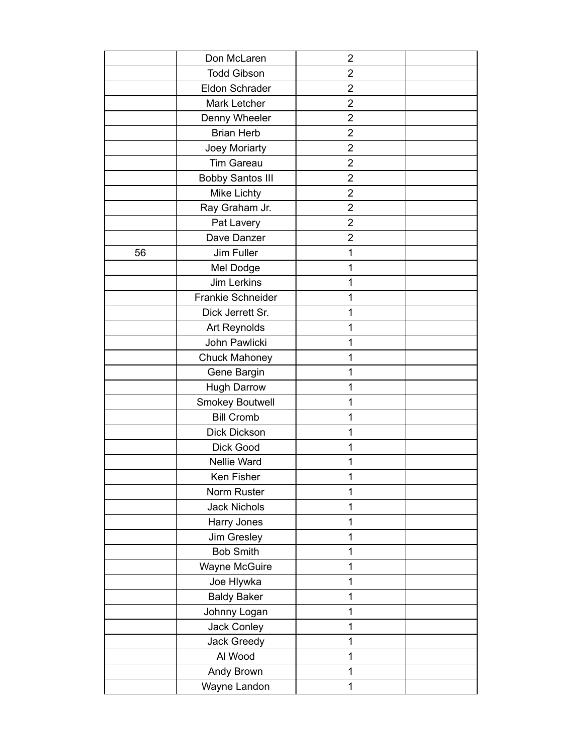|    | Don McLaren             | $\overline{2}$ |  |
|----|-------------------------|----------------|--|
|    | <b>Todd Gibson</b>      | $\overline{2}$ |  |
|    | <b>Eldon Schrader</b>   | $\overline{2}$ |  |
|    | Mark Letcher            | $\overline{2}$ |  |
|    | Denny Wheeler           | $\overline{2}$ |  |
|    | <b>Brian Herb</b>       | $\overline{2}$ |  |
|    | Joey Moriarty           | $\overline{2}$ |  |
|    | <b>Tim Gareau</b>       | $\overline{2}$ |  |
|    | <b>Bobby Santos III</b> | $\overline{2}$ |  |
|    | <b>Mike Lichty</b>      | $\overline{2}$ |  |
|    | Ray Graham Jr.          | $\overline{2}$ |  |
|    | Pat Lavery              | $\overline{2}$ |  |
|    | Dave Danzer             | $\overline{2}$ |  |
| 56 | Jim Fuller              | 1              |  |
|    | Mel Dodge               | 1              |  |
|    | <b>Jim Lerkins</b>      | 1              |  |
|    | Frankie Schneider       | 1              |  |
|    | Dick Jerrett Sr.        | 1              |  |
|    | Art Reynolds            | 1              |  |
|    | John Pawlicki           | 1              |  |
|    | <b>Chuck Mahoney</b>    | 1              |  |
|    | Gene Bargin             | 1              |  |
|    | <b>Hugh Darrow</b>      | 1              |  |
|    | Smokey Boutwell         | 1              |  |
|    | <b>Bill Cromb</b>       | 1              |  |
|    | Dick Dickson            | 1              |  |
|    | Dick Good               | 1              |  |
|    | Nellie Ward             | 1              |  |
|    | Ken Fisher              | 1              |  |
|    | Norm Ruster             | 1              |  |
|    | <b>Jack Nichols</b>     | 1              |  |
|    | Harry Jones             | 1              |  |
|    | Jim Gresley             | 1              |  |
|    | <b>Bob Smith</b>        | 1              |  |
|    | Wayne McGuire           | 1              |  |
|    | Joe Hlywka              | 1              |  |
|    | <b>Baldy Baker</b>      | 1              |  |
|    | Johnny Logan            | 1              |  |
|    | Jack Conley             | 1              |  |
|    | Jack Greedy             | 1              |  |
|    | Al Wood                 | 1              |  |
|    | Andy Brown              | $\mathbf 1$    |  |
|    | Wayne Landon            | 1              |  |